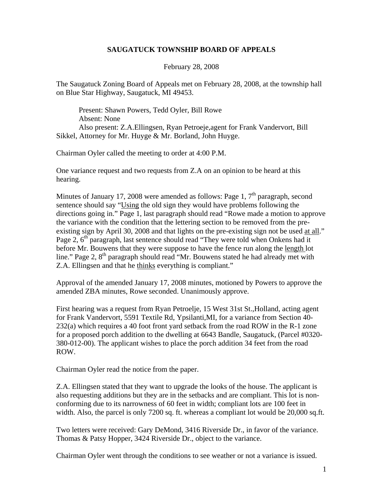## **SAUGATUCK TOWNSHIP BOARD OF APPEALS**

February 28, 2008

The Saugatuck Zoning Board of Appeals met on February 28, 2008, at the township hall on Blue Star Highway, Saugatuck, MI 49453.

Present: Shawn Powers, Tedd Oyler, Bill Rowe Absent: None Also present: Z.A.Ellingsen, Ryan Petroeje,agent for Frank Vandervort, Bill Sikkel, Attorney for Mr. Huyge & Mr. Borland, John Huyge.

Chairman Oyler called the meeting to order at 4:00 P.M.

One variance request and two requests from Z.A on an opinion to be heard at this hearing.

Minutes of January 17, 2008 were amended as follows: Page 1,  $7<sup>th</sup>$  paragraph, second sentence should say "Using the old sign they would have problems following the directions going in." Page 1, last paragraph should read "Rowe made a motion to approve the variance with the condition that the lettering section to be removed from the preexisting sign by April 30, 2008 and that lights on the pre-existing sign not be used at all." Page 2,  $6<sup>th</sup>$  paragraph, last sentence should read "They were told when Onkens had it before Mr. Bouwens that they were suppose to have the fence run along the length lot line." Page 2,  $8<sup>th</sup>$  paragraph should read "Mr. Bouwens stated he had already met with Z.A. Ellingsen and that he thinks everything is compliant."

Approval of the amended January 17, 2008 minutes, motioned by Powers to approve the amended ZBA minutes, Rowe seconded. Unanimously approve.

First hearing was a request from Ryan Petroelje, 15 West 31st St.,Holland, acting agent for Frank Vandervort, 5591 Textile Rd, Ypsilanti,MI, for a variance from Section 40- 232(a) which requires a 40 foot front yard setback from the road ROW in the R-1 zone for a proposed porch addition to the dwelling at 6643 Bandle, Saugatuck, (Parcel #0320- 380-012-00). The applicant wishes to place the porch addition 34 feet from the road ROW.

Chairman Oyler read the notice from the paper.

Z.A. Ellingsen stated that they want to upgrade the looks of the house. The applicant is also requesting additions but they are in the setbacks and are compliant. This lot is nonconforming due to its narrowness of 60 feet in width; compliant lots are 100 feet in width. Also, the parcel is only 7200 sq. ft. whereas a compliant lot would be 20,000 sq.ft.

Two letters were received: Gary DeMond, 3416 Riverside Dr., in favor of the variance. Thomas & Patsy Hopper, 3424 Riverside Dr., object to the variance.

Chairman Oyler went through the conditions to see weather or not a variance is issued.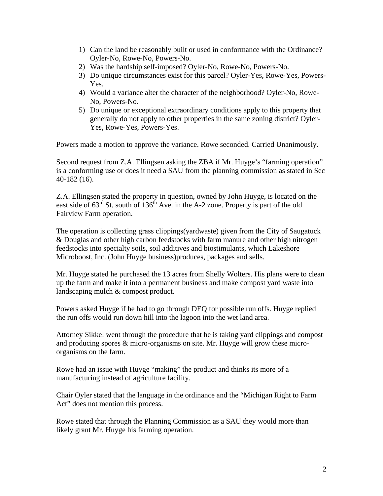- 1) Can the land be reasonably built or used in conformance with the Ordinance? Oyler-No, Rowe-No, Powers-No.
- 2) Was the hardship self-imposed? Oyler-No, Rowe-No, Powers-No.
- 3) Do unique circumstances exist for this parcel? Oyler-Yes, Rowe-Yes, Powers-Yes.
- 4) Would a variance alter the character of the neighborhood? Oyler-No, Rowe-No, Powers-No.
- 5) Do unique or exceptional extraordinary conditions apply to this property that generally do not apply to other properties in the same zoning district? Oyler-Yes, Rowe-Yes, Powers-Yes.

Powers made a motion to approve the variance. Rowe seconded. Carried Unanimously.

Second request from Z.A. Ellingsen asking the ZBA if Mr. Huyge's "farming operation" is a conforming use or does it need a SAU from the planning commission as stated in Sec 40-182 (16).

Z.A. Ellingsen stated the property in question, owned by John Huyge, is located on the east side of  $63<sup>rd</sup>$  St, south of  $136<sup>th</sup>$  Ave. in the A-2 zone. Property is part of the old Fairview Farm operation.

The operation is collecting grass clippings(yardwaste) given from the City of Saugatuck & Douglas and other high carbon feedstocks with farm manure and other high nitrogen feedstocks into specialty soils, soil additives and biostimulants, which Lakeshore Microboost, Inc. (John Huyge business)produces, packages and sells.

Mr. Huyge stated he purchased the 13 acres from Shelly Wolters. His plans were to clean up the farm and make it into a permanent business and make compost yard waste into landscaping mulch & compost product.

Powers asked Huyge if he had to go through DEQ for possible run offs. Huyge replied the run offs would run down hill into the lagoon into the wet land area.

Attorney Sikkel went through the procedure that he is taking yard clippings and compost and producing spores & micro-organisms on site. Mr. Huyge will grow these microorganisms on the farm.

Rowe had an issue with Huyge "making" the product and thinks its more of a manufacturing instead of agriculture facility.

Chair Oyler stated that the language in the ordinance and the "Michigan Right to Farm Act" does not mention this process.

Rowe stated that through the Planning Commission as a SAU they would more than likely grant Mr. Huyge his farming operation.